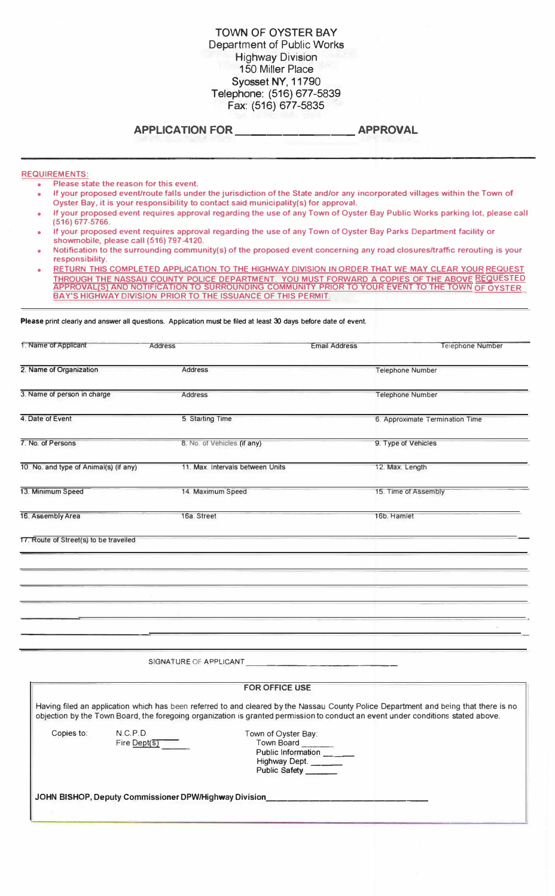### TOWN OF OYSTER BAY Department of Public Works Highway Division 150 Miller Place Syosset NY, 11790 Telephone: (516) 677-5839 Fax: (516) 677-5835

## **APPLICATION FOR \_\_\_\_\_\_\_\_ APPROVAL**

#### **REQUIREMENTS:**

- **• Please state the reason for this event.**
- **• If your proposed event/route falls under the jurisdiction of the State and/or any incorporated villages within the Town of Oyster Bay, it is your responsibility to contact said municipality(s) for approval.**
- **• If your proposed event requires approval regarding the use of any Town of Oyster Bay Public Works parking lot, please call (516) 677-5766.**
- **• If your proposed event requires approval regarding the use of any Town of Oyster Bay Parks Department facility or showmobile, please call (516) 797-4120.**
- **• Notification to the surrounding community(s) of the proposed event concerning any road closures/traffic rerouting is your responsibility.**
- **• RETURN THIS COMPLETED APPLICATION TO THE HIGHWAY DIVISION IN ORDER THAT WE MAY CLEAR YOUR REQUEST THROUGH THE NASSAU COUNTY POLICE DEPARTMENT. YOU MUST FORWARD A COPIES OF THE ABOVE REQUESTED APPROVAL(S) ANO NOTIFICATION TO SURROUNDING COMMUNITY PRIOR TO YOUR EVENT TO THE TOWN OF OYSTER BAY'S HIGHWAY DIVISION PRIOR TO THE ISSUANCE OF THIS PERMIT.**

**Please** print clearly and answer all questions. Application must be filed at least 30 days before date of event.

| 1. Name of Applicant                   | <b>Address</b>                   | <b>Email Address</b> | <b>Telephone Number</b>         |
|----------------------------------------|----------------------------------|----------------------|---------------------------------|
| 2. Name of Organization                | <b>Address</b>                   |                      | <b>Telephone Number</b>         |
| 3. Name of person in charge            | <b>Address</b>                   |                      | <b>Telephone Number</b>         |
| 4. Date of Event                       | 5. Starting Time                 |                      | 6. Approximate Termination Time |
| 7. No. of Persons                      | 8. No. of Vehicles (if any)      |                      | 9. Type of Vehicles             |
| 10. No. and type of Animal(s) (if any) | 11. Max. Intervals between Units |                      | 12. Max. Length                 |
| 13. Minimum Speed                      | 14. Maximum Speed                |                      | 15. Time of Assembly            |
| 16. Assembly Area                      | 16a. Street                      |                      | 16b. Hamlet                     |
| 17. Route of Street(s) to be travelled |                                  |                      |                                 |
|                                        |                                  |                      |                                 |
|                                        |                                  |                      |                                 |
|                                        |                                  |                      |                                 |
|                                        | SIGNATURE OF APPLICANT           |                      |                                 |
|                                        |                                  |                      |                                 |

|            |                                                       | <b>FOR OFFICE USE</b>                                                                                                                                                                                                                                                    |
|------------|-------------------------------------------------------|--------------------------------------------------------------------------------------------------------------------------------------------------------------------------------------------------------------------------------------------------------------------------|
|            |                                                       | Having filed an application which has been referred to and cleared by the Nassau County Police Department and being that there is no<br>objection by the Town Board, the foregoing organization is granted permission to conduct an event under conditions stated above. |
| Copies to: | N.C.P.D.<br>$Fire$ Dept $(s)$                         | ⊺own of Oyster Bay∶<br>Town Board<br>Public Information<br>Highway Dept. _____<br><b>Public Safety</b>                                                                                                                                                                   |
|            | JOHN BISHOP, Deputy Commissioner DPW/Highway Division |                                                                                                                                                                                                                                                                          |